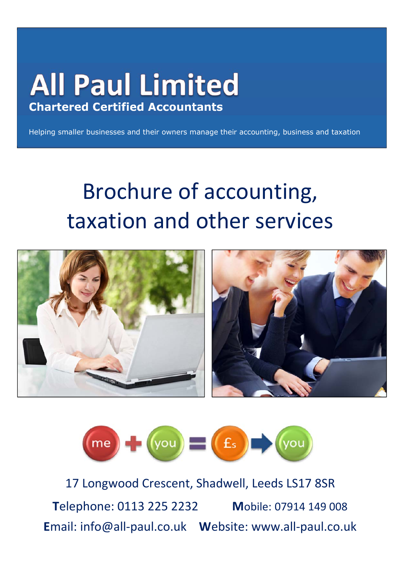## **All Paul Limited Chartered Certified Accountants**

Helping smaller businesses and their owners manage their accounting, business and taxation

# Brochure of accounting, taxation and other services





17 Longwood Crescent, Shadwell, Leeds LS17 8SR **T**elephone: 0113 225 2232 **M**obile: 07914 149 008 **E**mail: info@all-paul.co.uk **W**ebsite: www.all-paul.co.uk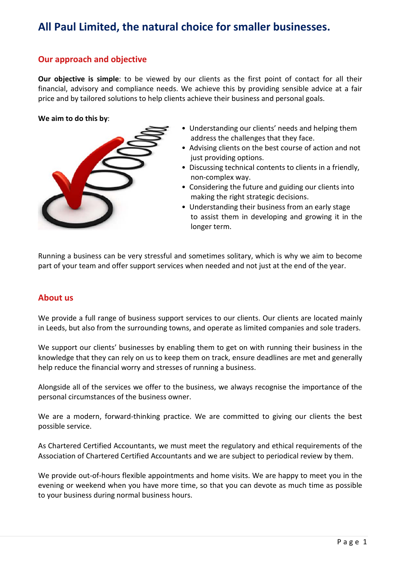### **All Paul Limited, the natural choice for smaller businesses.**

#### **Our approach and objective**

**Our objective is simple**: to be viewed by our clients as the first point of contact for all their financial, advisory and compliance needs. We achieve this by providing sensible advice at a fair price and by tailored solutions to help clients achieve their business and personal goals.

**We aim to do this by**:



- Understanding our clients' needs and helping them address the challenges that they face.
- Advising clients on the best course of action and not just providing options.
- Discussing technical contents to clients in a friendly, non-complex way.
- Considering the future and guiding our clients into making the right strategic decisions.
- Understanding their business from an early stage to assist them in developing and growing it in the longer term.

Running a business can be very stressful and sometimes solitary, which is why we aim to become part of your team and offer support services when needed and not just at the end of the year.

#### **About us**

We provide a full range of business support services to our clients. Our clients are located mainly in Leeds, but also from the surrounding towns, and operate as limited companies and sole traders.

We support our clients' businesses by enabling them to get on with running their business in the knowledge that they can rely on us to keep them on track, ensure deadlines are met and generally help reduce the financial worry and stresses of running a business.

Alongside all of the services we offer to the business, we always recognise the importance of the personal circumstances of the business owner.

We are a modern, forward-thinking practice. We are committed to giving our clients the best possible service.

As Chartered Certified Accountants, we must meet the regulatory and ethical requirements of the Association of Chartered Certified Accountants and we are subject to periodical review by them.

We provide out-of-hours flexible appointments and home visits. We are happy to meet you in the evening or weekend when you have more time, so that you can devote as much time as possible to your business during normal business hours.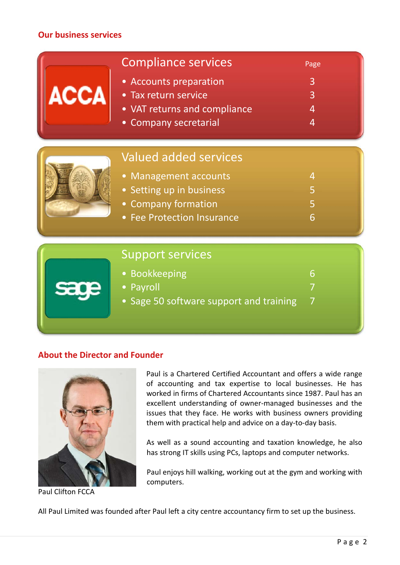#### **Our business services**

| <b>ACCA</b> | <b>Compliance services</b><br>• Accounts preparation<br>• Tax return service<br>• VAT returns and compliance<br>• Company secretarial  | Page<br>3<br>$\overline{3}$<br>4<br>4 |
|-------------|----------------------------------------------------------------------------------------------------------------------------------------|---------------------------------------|
|             | <b>Valued added services</b><br>• Management accounts<br>• Setting up in business<br>• Company formation<br>• Fee Protection Insurance | 4<br>5<br>5<br>6                      |
|             | <b>Support services</b><br>• Bookkeeping<br>• Payroll<br>• Sage 50 software support and training                                       | 6<br>7                                |

#### **About the Director and Founder**



Paul is a Chartered Certified Accountant and offers a wide range of accounting and tax expertise to local businesses. He has worked in firms of Chartered Accountants since 1987. Paul has an excellent understanding of owner-managed businesses and the issues that they face. He works with business owners providing them with practical help and advice on a day-to-day basis.

As well as a sound accounting and taxation knowledge, he also has strong IT skills using PCs, laptops and computer networks.

Paul enjoys hill walking, working out at the gym and working with computers.

Paul Clifton FCCA

All Paul Limited was founded after Paul left a city centre accountancy firm to set up the business.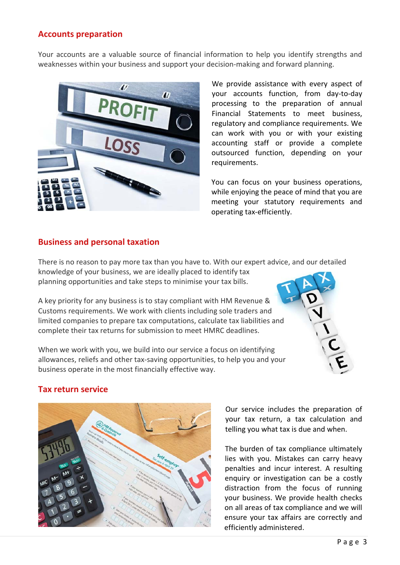#### **Accounts preparation**

Your accounts are a valuable source of financial information to help you identify strengths and weaknesses within your business and support your decision-making and forward planning.



We provide assistance with every aspect of your accounts function, from day-to-day processing to the preparation of annual Financial Statements to meet business, regulatory and compliance requirements. We can work with you or with your existing accounting staff or provide a complete outsourced function, depending on your requirements.

You can focus on your business operations, while enjoying the peace of mind that you are meeting your statutory requirements and operating tax-efficiently.

#### **Business and personal taxation**

There is no reason to pay more tax than you have to. With our expert advice, and our detailed knowledge of your business, we are ideally placed to identify tax planning opportunities and take steps to minimise your tax bills.

A key priority for any business is to stay compliant with HM Revenue & Customs requirements. We work with clients including sole traders and limited companies to prepare tax computations, calculate tax liabilities and complete their tax returns for submission to meet HMRC deadlines.

When we work with you, we build into our service a focus on identifying allowances, reliefs and other tax-saving opportunities, to help you and your business operate in the most financially effective way.



#### **Tax return service**



Our service includes the preparation of your tax return, a tax calculation and telling you what tax is due and when.

The burden of tax compliance ultimately lies with you. Mistakes can carry heavy penalties and incur interest. A resulting enquiry or investigation can be a costly distraction from the focus of running your business. We provide health checks on all areas of tax compliance and we will ensure your tax affairs are correctly and efficiently administered.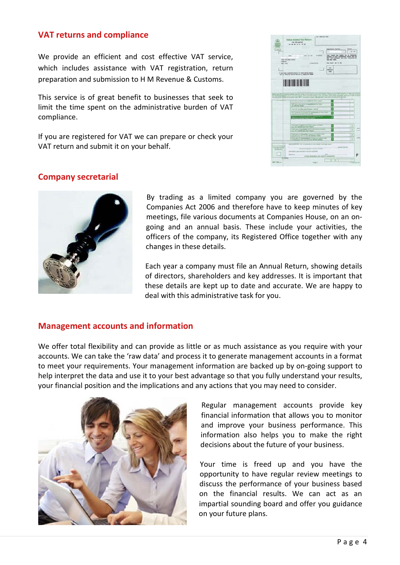#### **VAT returns and compliance**

We provide an efficient and cost effective VAT service, which includes assistance with VAT registration, return preparation and submission to H M Revenue & Customs.

This service is of great benefit to businesses that seek to limit the time spent on the administrative burden of VAT compliance.

If you are registered for VAT we can prepare or check your VAT return and submit it on your behalf.



#### **Company secretarial**



By trading as a limited company you are governed by the Companies Act 2006 and therefore have to keep minutes of key meetings, file various documents at Companies House, on an ongoing and an annual basis. These include your activities, the officers of the company, its Registered Office together with any changes in these details.

Each year a company must file an Annual Return, showing details of directors, shareholders and key addresses. It is important that these details are kept up to date and accurate. We are happy to deal with this administrative task for you.

#### **Management accounts and information**

We offer total flexibility and can provide as little or as much assistance as you require with your accounts. We can take the 'raw data' and process it to generate management accounts in a format to meet your requirements. Your management information are backed up by on-going support to help interpret the data and use it to your best advantage so that you fully understand your results, your financial position and the implications and any actions that you may need to consider.



Regular management accounts provide key financial information that allows you to monitor and improve your business performance. This information also helps you to make the right decisions about the future of your business.

Your time is freed up and you have the opportunity to have regular review meetings to discuss the performance of your business based on the financial results. We can act as an impartial sounding board and offer you guidance on your future plans.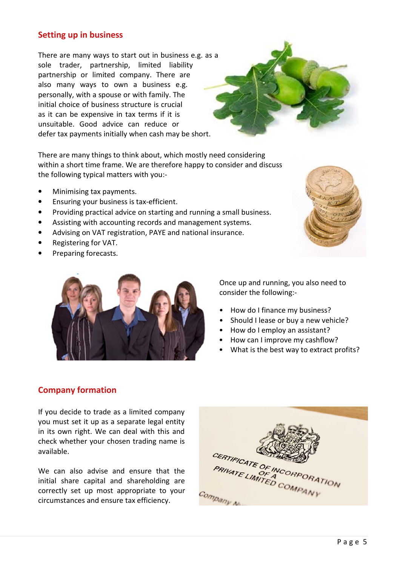#### **Setting up in business**

There are many ways to start out in business e.g. as a sole trader, partnership, limited liability partnership or limited company. There are also many ways to own a business e.g. personally, with a spouse or with family. The initial choice of business structure is crucial as it can be expensive in tax terms if it is unsuitable. Good advice can reduce or defer tax payments initially when cash may be short.

There are many things to think about, which mostly need considering within a short time frame. We are therefore happy to consider and discuss the following typical matters with you:-

- Minimising tax payments.
- Ensuring your business is tax-efficient.
- Providing practical advice on starting and running a small business.
- Assisting with accounting records and management systems.
- Advising on VAT registration, PAYE and national insurance.
- Registering for VAT.
- Preparing forecasts.





Once up and running, you also need to consider the following:-

- How do I finance my business?
- Should I lease or buy a new vehicle?
- How do I employ an assistant?
- How can I improve my cashflow?
- What is the best way to extract profits?

#### **Company formation**

If you decide to trade as a limited company you must set it up as a separate legal entity in its own right. We can deal with this and check whether your chosen trading name is available.

We can also advise and ensure that the initial share capital and shareholding are correctly set up most appropriate to your circumstances and ensure tax efficiency.

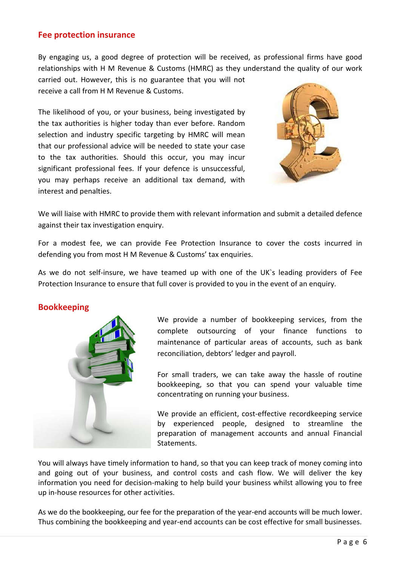#### **Fee protection insurance**

By engaging us, a good degree of protection will be received, as professional firms have good relationships with H M Revenue & Customs (HMRC) as they understand the quality of our work carried out. However, this is no guarantee that you will not

receive a call from H M Revenue & Customs.

The likelihood of you, or your business, being investigated by the tax authorities is higher today than ever before. Random selection and industry specific targeting by HMRC will mean that our professional advice will be needed to state your case to the tax authorities. Should this occur, you may incur significant professional fees. If your defence is unsuccessful, you may perhaps receive an additional tax demand, with interest and penalties.



We will liaise with HMRC to provide them with relevant information and submit a detailed defence against their tax investigation enquiry.

For a modest fee, we can provide Fee Protection Insurance to cover the costs incurred in defending you from most H M Revenue & Customs' tax enquiries.

As we do not self-insure, we have teamed up with one of the UK`s leading providers of Fee Protection Insurance to ensure that full cover is provided to you in the event of an enquiry.

#### **Bookkeeping**



We provide a number of bookkeeping services, from the complete outsourcing of your finance functions to maintenance of particular areas of accounts, such as bank reconciliation, debtors' ledger and payroll.

For small traders, we can take away the hassle of routine bookkeeping, so that you can spend your valuable time concentrating on running your business.

We provide an efficient, cost-effective recordkeeping service by experienced people, designed to streamline the preparation of management accounts and annual Financial Statements.

You will always have timely information to hand, so that you can keep track of money coming into and going out of your business, and control costs and cash flow. We will deliver the key information you need for decision-making to help build your business whilst allowing you to free up in-house resources for other activities.

As we do the bookkeeping, our fee for the preparation of the year-end accounts will be much lower. Thus combining the bookkeeping and year-end accounts can be cost effective for small businesses.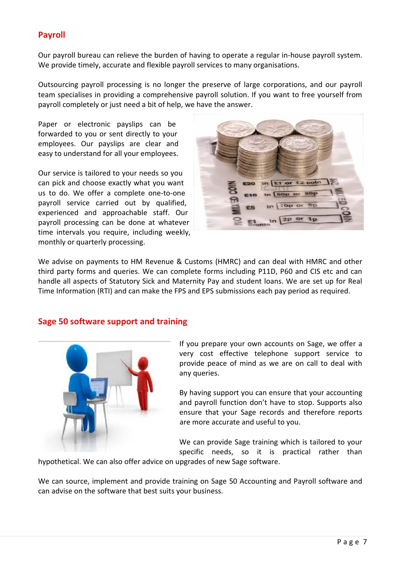#### **Payroll**

Our payroll bureau can relieve the burden of having to operate a regular in-house payroll system. We provide timely, accurate and flexible payroll services to many organisations.

Outsourcing payroll processing is no longer the preserve of large corporations, and our payroll team specialises in providing a comprehensive payroll solution. If you want to free yourself from payroll completely or just need a bit of help, we have the answer.

Paper or electronic payslips can be forwarded to you or sent directly to your employees. Our payslips are clear and easy to understand for all your employees.

Our service is tailored to your needs so you can pick and choose exactly what you want us to do. We offer a complete one-to-one payroll service carried out by qualified, experienced and approachable staff. Our payroll processing can be done at whatever time intervals you require, including weekly, monthly or quarterly processing.



We advise on payments to HM Revenue & Customs (HMRC) and can deal with HMRC and other third party forms and queries. We can complete forms including P11D, P60 and CIS etc and can handle all aspects of Statutory Sick and Maternity Pay and student loans. We are set up for Real Time Information (RTI) and can make the FPS and EPS submissions each pay period as required.

#### **Sage 50 software support and training**



If you prepare your own accounts on Sage, we offer a very cost effective telephone support service to provide peace of mind as we are on call to deal with any queries.

By having support you can ensure that your accounting and payroll function don't have to stop. Supports also ensure that your Sage records and therefore reports are more accurate and useful to you.

We can provide Sage training which is tailored to your specific needs, so it is practical rather than

hypothetical. We can also offer advice on upgrades of new Sage software.

We can source, implement and provide training on Sage 50 Accounting and Payroll software and can advise on the software that best suits your business.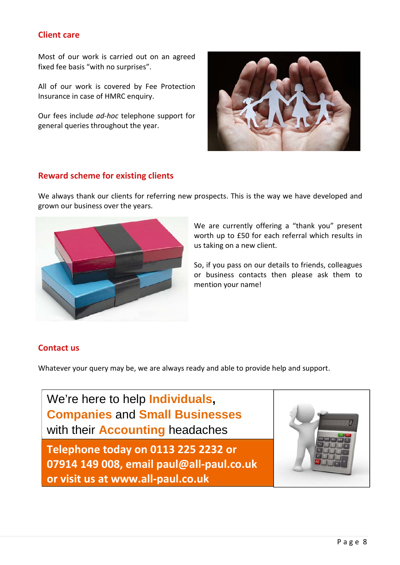#### **Client care**

Most of our work is carried out on an agreed fixed fee basis "with no surprises".

All of our work is covered by Fee Protection Insurance in case of HMRC enquiry.

Our fees include *ad-hoc* telephone support for general queries throughout the year.



#### **Reward scheme for existing clients**

We always thank our clients for referring new prospects. This is the way we have developed and grown our business over the years.



We are currently offering a "thank you" present worth up to £50 for each referral which results in us taking on a new client.

So, if you pass on our details to friends, colleagues or business contacts then please ask them to mention your name!

#### **Contact us**

Whatever your query may be, we are always ready and able to provide help and support.

We're here to help **Individuals, Companies** and **Small Businesses**  with their **Accounting** headaches

**Telephone today on 0113 225 2232 or 07914 149 008, email paul@all-paul.co.uk or visit us at www.all-paul.co.uk**